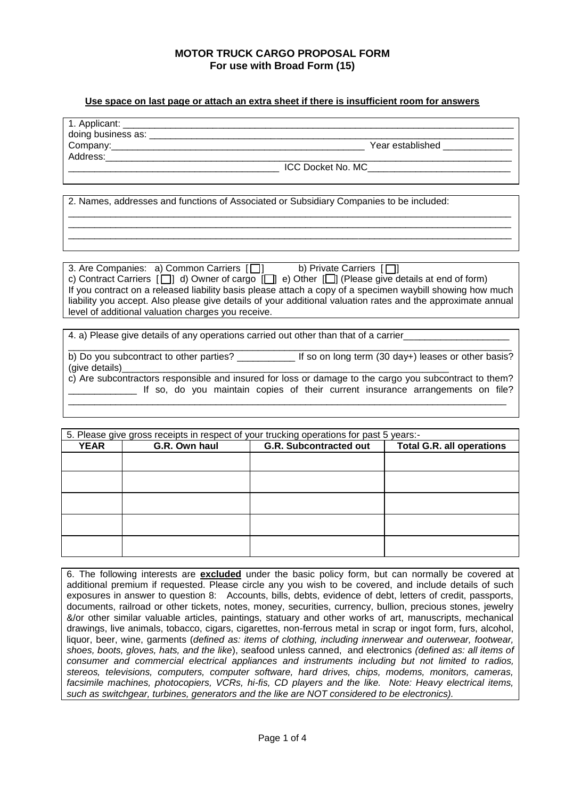#### **Use space on last page or attach an extra sheet if there is insufficient room for answers**

| 1. Applicant:      |                          |
|--------------------|--------------------------|
| doing business as: |                          |
| Company:           | Year established         |
| Address:           |                          |
|                    | <b>ICC Docket No. MC</b> |

\_\_\_\_\_\_\_\_\_\_\_\_\_\_\_\_\_\_\_\_\_\_\_\_\_\_\_\_\_\_\_\_\_\_\_\_\_\_\_\_\_\_\_\_\_\_\_\_\_\_\_\_\_\_\_\_\_\_\_\_\_\_\_\_\_\_\_\_\_\_\_\_\_\_\_\_\_\_\_\_\_\_\_\_ \_\_\_\_\_\_\_\_\_\_\_\_\_\_\_\_\_\_\_\_\_\_\_\_\_\_\_\_\_\_\_\_\_\_\_\_\_\_\_\_\_\_\_\_\_\_\_\_\_\_\_\_\_\_\_\_\_\_\_\_\_\_\_\_\_\_\_\_\_\_\_\_\_\_\_\_\_\_\_\_\_\_\_\_ \_\_\_\_\_\_\_\_\_\_\_\_\_\_\_\_\_\_\_\_\_\_\_\_\_\_\_\_\_\_\_\_\_\_\_\_\_\_\_\_\_\_\_\_\_\_\_\_\_\_\_\_\_\_\_\_\_\_\_\_\_\_\_\_\_\_\_\_\_\_\_\_\_\_\_\_\_\_\_\_\_\_\_\_

2. Names, addresses and functions of Associated or Subsidiary Companies to be included:

3. Are Companies: a) Common Carriers  $\Box$  b) Private Carriers  $\Box$ c) Contract Carriers  $[\Box]$  d) Owner of cargo  $[\Box]$  e) Other  $[\Box]$  (Please give details at end of form) If you contract on a released liability basis please attach a copy of a specimen waybill showing how much liability you accept. Also please give details of your additional valuation rates and the approximate annual level of additional valuation charges you receive.

4. a) Please give details of any operations carried out other than that of a carrier

\_\_\_\_\_\_\_\_\_\_\_\_\_\_\_\_\_\_\_\_\_\_\_\_\_\_\_\_\_\_\_\_\_\_\_\_\_\_\_\_\_\_\_\_\_\_\_\_\_\_\_\_\_\_\_\_\_\_\_\_\_\_\_\_\_\_\_\_\_\_\_\_\_\_\_\_\_\_\_\_\_\_\_\_ b) Do you subcontract to other parties? \_\_\_\_\_\_\_\_\_\_\_\_\_\_ If so on long term (30 day+) leases or other basis? (give details) c) Are subcontractors responsible and insured for loss or damage to the cargo you subcontract to them? If so, do you maintain copies of their current insurance arrangements on file? \_\_\_\_\_\_\_\_\_\_\_\_\_\_\_\_\_\_\_\_\_\_\_\_\_\_\_\_\_\_\_\_\_\_\_\_\_\_\_\_\_\_\_\_\_\_\_\_\_\_\_\_\_\_\_\_\_\_\_\_\_\_\_\_\_\_\_\_\_\_\_\_\_\_\_\_\_\_\_\_\_\_\_

| 5. Please give gross receipts in respect of your trucking operations for past 5 years:- |               |                                                                   |  |  |  |
|-----------------------------------------------------------------------------------------|---------------|-------------------------------------------------------------------|--|--|--|
| <b>YEAR</b>                                                                             | G.R. Own haul | <b>G.R. Subcontracted out</b><br><b>Total G.R. all operations</b> |  |  |  |
|                                                                                         |               |                                                                   |  |  |  |
|                                                                                         |               |                                                                   |  |  |  |
|                                                                                         |               |                                                                   |  |  |  |
|                                                                                         |               |                                                                   |  |  |  |
|                                                                                         |               |                                                                   |  |  |  |

6. The following interests are **excluded** under the basic policy form, but can normally be covered at additional premium if requested. Please circle any you wish to be covered, and include details of such exposures in answer to question 8: Accounts, bills, debts, evidence of debt, letters of credit, passports, documents, railroad or other tickets, notes, money, securities, currency, bullion, precious stones, jewelry &/or other similar valuable articles, paintings, statuary and other works of art, manuscripts, mechanical drawings, live animals, tobacco, cigars, cigarettes, non-ferrous metal in scrap or ingot form, furs, alcohol, liquor, beer, wine, garments (*defined as: items of clothing, including innerwear and outerwear, footwear, shoes, boots, gloves, hats, and the like*), seafood unless canned, and electronics *(defined as: all items of consumer and commercial electrical appliances and instruments including but not limited to radios, stereos, televisions, computers, computer software, hard drives, chips, modems, monitors, cameras, facsimile machines, photocopiers, VCRs, hi-fis, CD players and the like. Note: Heavy electrical items, such as switchgear, turbines, generators and the like are NOT considered to be electronics).*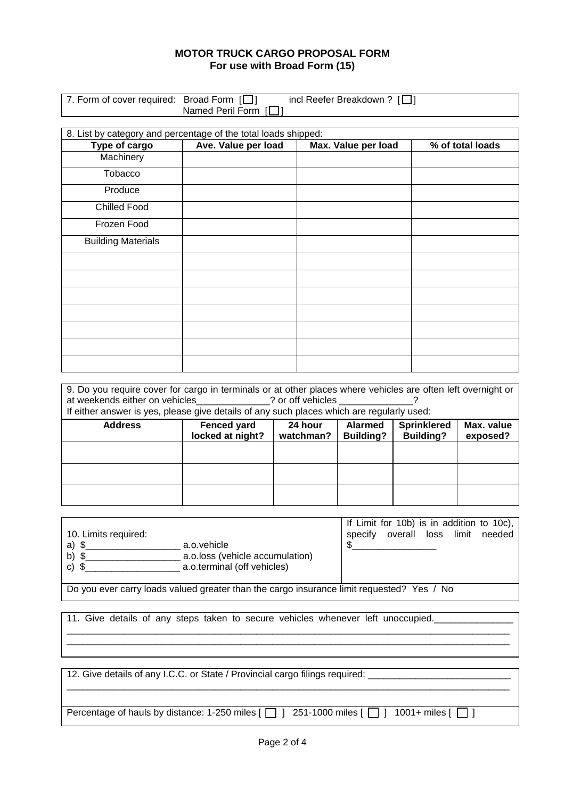| 7. Form of cover required: Broad Form $[\Box]$ | Named Peril Form [□]                                           | incl Reefer Breakdown ? $[\Box]$ |                  |
|------------------------------------------------|----------------------------------------------------------------|----------------------------------|------------------|
|                                                |                                                                |                                  |                  |
|                                                | 8. List by category and percentage of the total loads shipped: |                                  |                  |
| Type of cargo                                  | Ave. Value per load                                            | Max. Value per load              | % of total loads |
| Machinery                                      |                                                                |                                  |                  |
| <b>Tobacco</b>                                 |                                                                |                                  |                  |
| Produce                                        |                                                                |                                  |                  |
| <b>Chilled Food</b>                            |                                                                |                                  |                  |
| Frozen Food                                    |                                                                |                                  |                  |
| <b>Building Materials</b>                      |                                                                |                                  |                  |
|                                                |                                                                |                                  |                  |
|                                                |                                                                |                                  |                  |
|                                                |                                                                |                                  |                  |
|                                                |                                                                |                                  |                  |
|                                                |                                                                |                                  |                  |
|                                                |                                                                |                                  |                  |
|                                                |                                                                |                                  |                  |

| 9. Do you require cover for cargo in terminals or at other places where vehicles are often left overnight or<br>at weekends either on vehicles at weekends either on vehicles<br>If either answer is yes, please give details of any such places which are regularly used: |                                                                                                                                                                          |  |  |  |  |  |
|----------------------------------------------------------------------------------------------------------------------------------------------------------------------------------------------------------------------------------------------------------------------------|--------------------------------------------------------------------------------------------------------------------------------------------------------------------------|--|--|--|--|--|
| <b>Address</b>                                                                                                                                                                                                                                                             | <b>Sprinklered</b><br>Max. value<br><b>Fenced yard</b><br>24 hour<br><b>Alarmed</b><br>locked at night?<br>watchman?<br><b>Building?</b><br><b>Building?</b><br>exposed? |  |  |  |  |  |
|                                                                                                                                                                                                                                                                            |                                                                                                                                                                          |  |  |  |  |  |
|                                                                                                                                                                                                                                                                            |                                                                                                                                                                          |  |  |  |  |  |
|                                                                                                                                                                                                                                                                            |                                                                                                                                                                          |  |  |  |  |  |

|                      |                                 |         | If Limit for 10b) is in addition to 10c), |       |        |
|----------------------|---------------------------------|---------|-------------------------------------------|-------|--------|
| 10. Limits required: |                                 | specify | overall loss                              | limit | needed |
| a) \$                | a.o.vehicle                     |         |                                           |       |        |
| $b)$ \$              | a.o.loss (vehicle accumulation) |         |                                           |       |        |
| $c)$ \$              | a.o.terminal (off vehicles)     |         |                                           |       |        |
|                      |                                 |         |                                           |       |        |

\_\_\_\_\_\_\_\_\_\_\_\_\_\_\_\_\_\_\_\_\_\_\_\_\_\_\_\_\_\_\_\_\_\_\_\_\_\_\_\_\_\_\_\_\_\_\_\_\_\_\_\_\_\_\_\_\_\_\_\_\_\_\_\_\_\_\_\_\_\_\_\_\_\_\_\_\_\_\_\_\_\_\_\_ \_\_\_\_\_\_\_\_\_\_\_\_\_\_\_\_\_\_\_\_\_\_\_\_\_\_\_\_\_\_\_\_\_\_\_\_\_\_\_\_\_\_\_\_\_\_\_\_\_\_\_\_\_\_\_\_\_\_\_\_\_\_\_\_\_\_\_\_\_\_\_\_\_\_\_\_\_\_\_\_\_\_\_\_

Do you ever carry loads valued greater than the cargo insurance limit requested? Yes / No

11. Give details of any steps taken to secure vehicles whenever left unoccupied.

12. Give details of any I.C.C. or State / Provincial cargo filings required: \_ \_\_\_\_\_\_\_\_\_\_\_\_\_\_\_\_\_\_\_\_\_\_\_\_\_\_\_\_\_\_\_\_\_\_\_\_\_\_\_\_\_\_\_\_\_\_\_\_\_\_\_\_\_\_\_\_\_\_\_\_\_\_\_\_\_\_\_\_\_\_\_\_\_\_\_\_\_\_\_\_\_\_\_\_

Percentage of hauls by distance: 1-250 miles  $[\ ]$  351-1000 miles  $[\ ]$  1001+ miles  $[\ ]$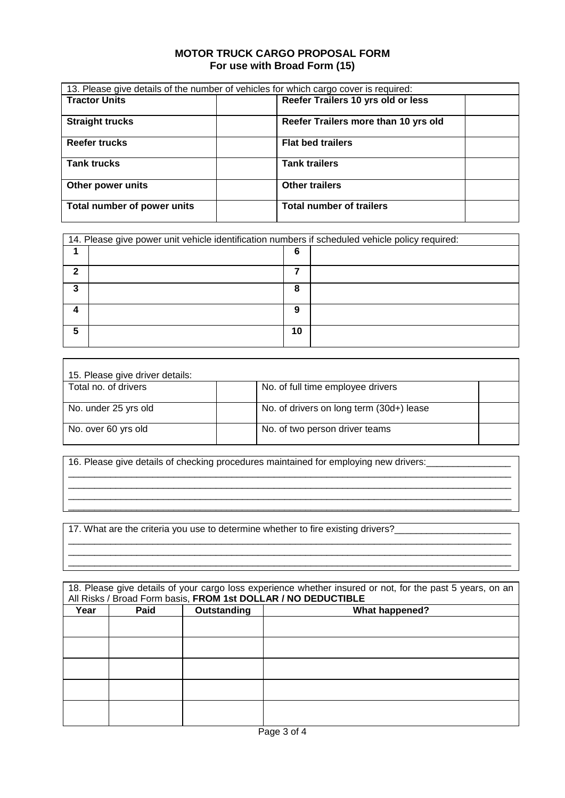|                             | 13. Please give details of the number of vehicles for which cargo cover is required: |  |
|-----------------------------|--------------------------------------------------------------------------------------|--|
| <b>Tractor Units</b>        | Reefer Trailers 10 yrs old or less                                                   |  |
| <b>Straight trucks</b>      | Reefer Trailers more than 10 yrs old                                                 |  |
| <b>Reefer trucks</b>        | <b>Flat bed trailers</b>                                                             |  |
| <b>Tank trucks</b>          | <b>Tank trailers</b>                                                                 |  |
| Other power units           | <b>Other trailers</b>                                                                |  |
| Total number of power units | <b>Total number of trailers</b>                                                      |  |

|   | 14. Please give power unit vehicle identification numbers if scheduled vehicle policy required: |    |  |  |  |
|---|-------------------------------------------------------------------------------------------------|----|--|--|--|
|   |                                                                                                 | 6  |  |  |  |
| າ |                                                                                                 |    |  |  |  |
| 3 |                                                                                                 | 8  |  |  |  |
|   |                                                                                                 | 9  |  |  |  |
| 5 |                                                                                                 | 10 |  |  |  |

| 15. Please give driver details: |                                          |  |  |  |
|---------------------------------|------------------------------------------|--|--|--|
| Total no. of drivers            | No. of full time employee drivers        |  |  |  |
| No. under 25 yrs old            | No. of drivers on long term (30d+) lease |  |  |  |
| No. over 60 yrs old             | No. of two person driver teams           |  |  |  |

 $\overline{\phantom{a}}$ 

\_\_\_\_\_\_\_\_\_\_\_\_\_\_\_\_\_\_\_\_\_\_\_\_\_\_\_\_\_\_\_\_\_\_\_\_\_\_\_\_\_\_\_\_\_\_\_\_\_\_\_\_\_\_\_\_\_\_\_\_\_\_\_\_\_\_\_\_\_\_\_\_\_\_\_\_\_\_\_\_\_\_\_\_ \_\_\_\_\_\_\_\_\_\_\_\_\_\_\_\_\_\_\_\_\_\_\_\_\_\_\_\_\_\_\_\_\_\_\_\_\_\_\_\_\_\_\_\_\_\_\_\_\_\_\_\_\_\_\_\_\_\_\_\_\_\_\_\_\_\_\_\_\_\_\_\_\_\_\_\_\_\_\_\_\_\_\_\_ \_\_\_\_\_\_\_\_\_\_\_\_\_\_\_\_\_\_\_\_\_\_\_\_\_\_\_\_\_\_\_\_\_\_\_\_\_\_\_\_\_\_\_\_\_\_\_\_\_\_\_\_\_\_\_\_\_\_\_\_\_\_\_\_\_\_\_\_\_\_\_\_\_\_\_\_\_\_\_\_\_\_\_\_ \_\_\_\_\_\_\_\_\_\_\_\_\_\_\_\_\_\_\_\_\_\_\_\_\_\_\_\_\_\_\_\_\_\_\_\_\_\_\_\_\_\_\_\_\_\_\_\_\_\_\_\_\_\_\_\_\_\_\_\_\_\_\_\_\_\_\_\_\_\_\_\_\_\_\_\_\_\_\_\_\_\_\_\_

\_\_\_\_\_\_\_\_\_\_\_\_\_\_\_\_\_\_\_\_\_\_\_\_\_\_\_\_\_\_\_\_\_\_\_\_\_\_\_\_\_\_\_\_\_\_\_\_\_\_\_\_\_\_\_\_\_\_\_\_\_\_\_\_\_\_\_\_\_\_\_\_\_\_\_\_\_\_\_\_\_\_\_\_ \_\_\_\_\_\_\_\_\_\_\_\_\_\_\_\_\_\_\_\_\_\_\_\_\_\_\_\_\_\_\_\_\_\_\_\_\_\_\_\_\_\_\_\_\_\_\_\_\_\_\_\_\_\_\_\_\_\_\_\_\_\_\_\_\_\_\_\_\_\_\_\_\_\_\_\_\_\_\_\_\_\_\_\_ \_\_\_\_\_\_\_\_\_\_\_\_\_\_\_\_\_\_\_\_\_\_\_\_\_\_\_\_\_\_\_\_\_\_\_\_\_\_\_\_\_\_\_\_\_\_\_\_\_\_\_\_\_\_\_\_\_\_\_\_\_\_\_\_\_\_\_\_\_\_\_\_\_\_\_\_\_\_\_\_\_\_\_\_

16. Please give details of checking procedures maintained for employing new drivers:

17. What are the criteria you use to determine whether to fire existing drivers?

 $\overline{1}$ 

|      | 18. Please give details of your cargo loss experience whether insured or not, for the past 5 years, on an |             |                                                               |  |  |  |  |
|------|-----------------------------------------------------------------------------------------------------------|-------------|---------------------------------------------------------------|--|--|--|--|
|      |                                                                                                           |             | All Risks / Broad Form basis, FROM 1st DOLLAR / NO DEDUCTIBLE |  |  |  |  |
| Year | <b>Paid</b>                                                                                               | Outstanding | <b>What happened?</b>                                         |  |  |  |  |
|      |                                                                                                           |             |                                                               |  |  |  |  |
|      |                                                                                                           |             |                                                               |  |  |  |  |
|      |                                                                                                           |             |                                                               |  |  |  |  |
|      |                                                                                                           |             |                                                               |  |  |  |  |
|      |                                                                                                           |             |                                                               |  |  |  |  |
|      |                                                                                                           |             |                                                               |  |  |  |  |
|      |                                                                                                           |             |                                                               |  |  |  |  |
|      |                                                                                                           |             |                                                               |  |  |  |  |
|      |                                                                                                           |             |                                                               |  |  |  |  |
|      |                                                                                                           |             |                                                               |  |  |  |  |